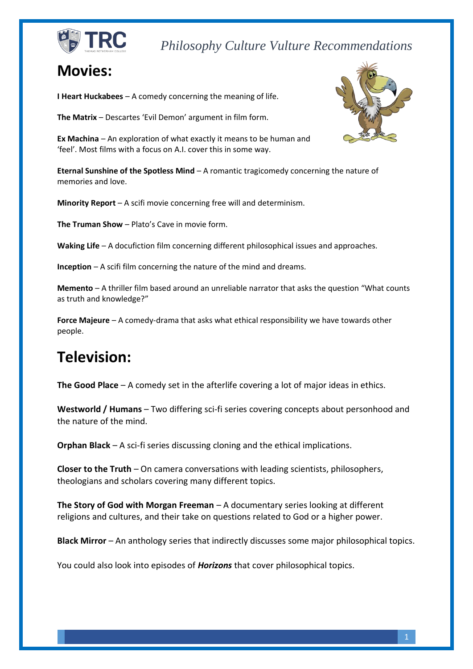

*Philosophy Culture Vulture Recommendations*

## **Movies:**

**I Heart Huckabees** – A comedy concerning the meaning of life.

**The Matrix** – Descartes 'Evil Demon' argument in film form.

**Ex Machina** – An exploration of what exactly it means to be human and 'feel'. Most films with a focus on A.I. cover this in some way.

**Eternal Sunshine of the Spotless Mind** – A romantic tragicomedy concerning the nature of memories and love.

**Minority Report** – A scifi movie concerning free will and determinism.

**The Truman Show** – Plato's Cave in movie form.

**Waking Life** – A docufiction film concerning different philosophical issues and approaches.

**Inception** – A scifi film concerning the nature of the mind and dreams.

**Memento** – A thriller film based around an unreliable narrator that asks the question "What counts as truth and knowledge?"

**Force Majeure** – A comedy-drama that asks what ethical responsibility we have towards other people.

# **Television:**

**The Good Place** – A comedy set in the afterlife covering a lot of major ideas in ethics.

**Westworld / Humans** – Two differing sci-fi series covering concepts about personhood and the nature of the mind.

**Orphan Black** – A sci-fi series discussing cloning and the ethical implications.

**Closer to the Truth** – On camera conversations with leading scientists, philosophers, theologians and scholars covering many different topics.

**The Story of God with Morgan Freeman** – A documentary series looking at different religions and cultures, and their take on questions related to God or a higher power.

**Black Mirror** – An anthology series that indirectly discusses some major philosophical topics.

You could also look into episodes of *Horizons* that cover philosophical topics.

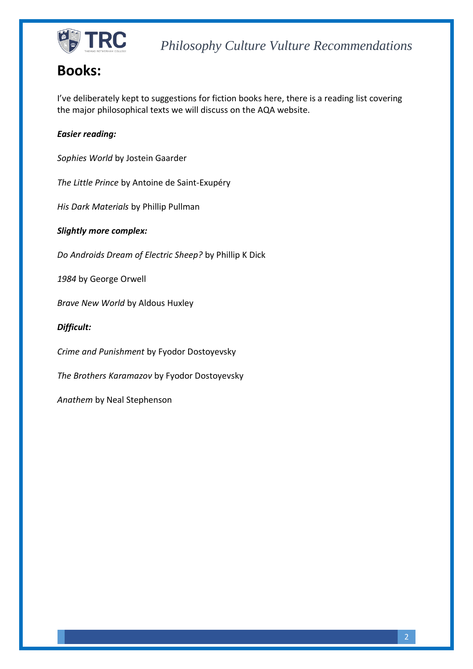

*Philosophy Culture Vulture Recommendations*

### **Books:**

I've deliberately kept to suggestions for fiction books here, there is a reading list covering the major philosophical texts we will discuss on the AQA website.

#### *Easier reading:*

*Sophies World* by Jostein Gaarder

*The Little Prince* by Antoine de Saint-Exupéry

*His Dark Materials* by Phillip Pullman

*Slightly more complex:*

*Do Androids Dream of Electric Sheep?* by Phillip K Dick

*1984* by George Orwell

*Brave New World* by Aldous Huxley

#### *Difficult:*

*Crime and Punishment* by Fyodor Dostoyevsky

*The Brothers Karamazov* by Fyodor Dostoyevsky

*Anathem* by Neal Stephenson